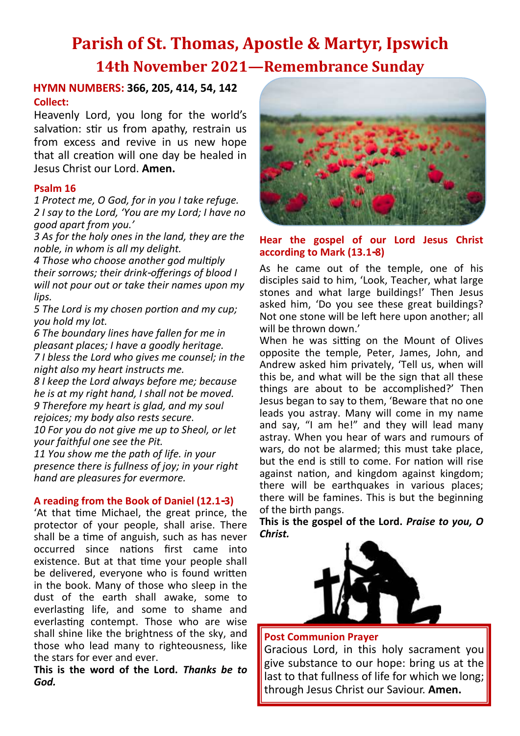# **Parish of St. Thomas, Apostle & Martyr, Ipswich 14th November 2021—Remembrance Sunday**

## **Collect: HYMN NUMBERS: 366, 205, 414, 54, 142**

Heavenly Lord, you long for the world's salvation: stir us from apathy, restrain us from excess and revive in us new hope that all creation will one day be healed in Jesus Christ our Lord. **Amen.**

#### **Psalm 16**

*1 Protect me, O God, for in you I take refuge. 2 I say to the Lord, 'You are my Lord; I have no good apart from you.'*

*3 As for the holy ones in the land, they are the noble, in whom is all my delight.*

*4 Those who choose another god multiply their sorrows; their drink-offerings of blood I will not pour out or take their names upon my lips.*

*5 The Lord is my chosen portion and my cup; you hold my lot.*

*6 The boundary lines have fallen for me in pleasant places; I have a goodly heritage. 7 I bless the Lord who gives me counsel; in the night also my heart instructs me.*

*8 I keep the Lord always before me; because he is at my right hand, I shall not be moved. 9 Therefore my heart is glad, and my soul rejoices; my body also rests secure. 10 For you do not give me up to Sheol, or let* 

*your faithful one see the Pit.*

*11 You show me the path of life. in your presence there is fullness of joy; in your right hand are pleasures for evermore.*

#### **A reading from the Book of Daniel (12.1-3)**

'At that time Michael, the great prince, the protector of your people, shall arise. There shall be a time of anguish, such as has never occurred since nations first came into existence. But at that time your people shall be delivered, everyone who is found written in the book. Many of those who sleep in the dust of the earth shall awake, some to everlasting life, and some to shame and everlasting contempt. Those who are wise shall shine like the brightness of the sky, and those who lead many to righteousness, like the stars for ever and ever.

**This is the word of the Lord.** *Thanks be to God.*



#### **Hear the gospel of our Lord Jesus Christ according to Mark (13.1-8)**

As he came out of the temple, one of his disciples said to him, 'Look, Teacher, what large stones and what large buildings!' Then Jesus asked him, 'Do you see these great buildings? Not one stone will be left here upon another; all will be thrown down.'

When he was sitting on the Mount of Olives opposite the temple, Peter, James, John, and Andrew asked him privately, 'Tell us, when will this be, and what will be the sign that all these things are about to be accomplished?' Then Jesus began to say to them, 'Beware that no one leads you astray. Many will come in my name and say, "I am he!" and they will lead many astray. When you hear of wars and rumours of wars, do not be alarmed; this must take place, but the end is still to come. For nation will rise against nation, and kingdom against kingdom; there will be earthquakes in various places; there will be famines. This is but the beginning of the birth pangs.

**This is the gospel of the Lord.** *Praise to you, O Christ.*



#### **Post Communion Prayer**

Gracious Lord, in this holy sacrament you give substance to our hope: bring us at the last to that fullness of life for which we long; through Jesus Christ our Saviour. **Amen.**